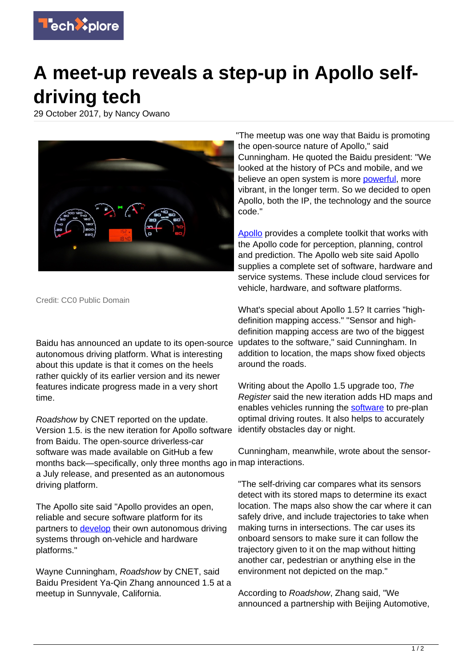

## **A meet-up reveals a step-up in Apollo selfdriving tech**

29 October 2017, by Nancy Owano



Credit: CC0 Public Domain

Baidu has announced an update to its open-source autonomous driving platform. What is interesting about this update is that it comes on the heels rather quickly of its earlier version and its newer features indicate progress made in a very short time.

Roadshow by CNET reported on the update. Version 1.5. is the new iteration for Apollo software from Baidu. The open-source driverless-car software was made available on GitHub a few months back—specifically, only three months ago in map interactions. a July release, and presented as an autonomous driving platform.

The Apollo site said "Apollo provides an open, reliable and secure software platform for its partners to [develop](http://apollo.auto/) their own autonomous driving systems through on-vehicle and hardware platforms."

Wayne Cunningham, Roadshow by CNET, said Baidu President Ya-Qin Zhang announced 1.5 at a meetup in Sunnyvale, California.

"The meetup was one way that Baidu is promoting the open-source nature of Apollo," said Cunningham. He quoted the Baidu president: "We looked at the history of PCs and mobile, and we believe an open system is more [powerful,](https://www.cnet.com/roadshow/news/open-source-apollo-speeds-up-baidus-self-driving-software-development/) more vibrant, in the longer term. So we decided to open Apollo, both the IP, the technology and the source code."

[Apollo](http://apollo.auto/fund.html) provides a complete toolkit that works with the Apollo code for perception, planning, control and prediction. The Apollo web site said Apollo supplies a complete set of software, hardware and service systems. These include cloud services for vehicle, hardware, and software platforms.

What's special about Apollo 1.5? It carries "highdefinition mapping access." "Sensor and highdefinition mapping access are two of the biggest updates to the software," said Cunningham. In addition to location, the maps show fixed objects around the roads.

Writing about the Apollo 1.5 upgrade too, The Register said the new iteration adds HD maps and enables vehicles running the [software](https://www.theregister.co.uk/2017/09/21/baidu_fund_for_autonomous_vehicles/) to pre-plan optimal driving routes. It also helps to accurately identify obstacles day or night.

Cunningham, meanwhile, wrote about the sensor-

"The self-driving car compares what its sensors detect with its stored maps to determine its exact location. The maps also show the car where it can safely drive, and include trajectories to take when making turns in intersections. The car uses its onboard sensors to make sure it can follow the trajectory given to it on the map without hitting another car, pedestrian or anything else in the environment not depicted on the map."

According to Roadshow, Zhang said, "We announced a partnership with Beijing Automotive,